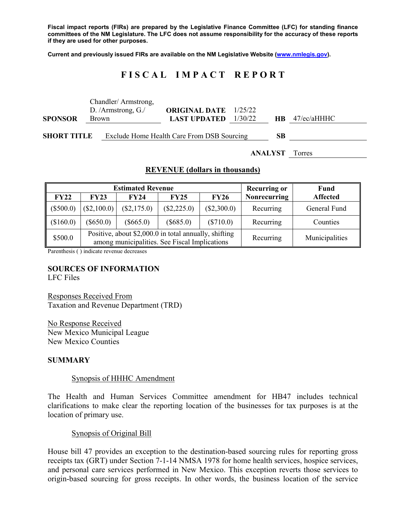**Fiscal impact reports (FIRs) are prepared by the Legislative Finance Committee (LFC) for standing finance committees of the NM Legislature. The LFC does not assume responsibility for the accuracy of these reports if they are used for other purposes.**

**Current and previously issued FIRs are available on the NM Legislative Website [\(www.nmlegis.gov\)](http://www.nmlegis.gov/).**

# **F I S C A L I M P A C T R E P O R T**

| <b>SPONSOR</b>     | Chandler/Armstrong,<br>D. /Armstrong, $G$ ./<br>Brown |  | <b>ORIGINAL DATE</b> 1/25/22<br><b>LAST UPDATED</b> | 1/30/22 |    | $HB$ 47/ec/aHHHC |
|--------------------|-------------------------------------------------------|--|-----------------------------------------------------|---------|----|------------------|
| <b>SHORT TITLE</b> |                                                       |  | Exclude Home Health Care From DSB Sourcing          |         | SВ |                  |

**ANALYST** Torres

## **REVENUE (dollars in thousands)**

|             |             | <b>Estimated Revenue</b>                                                                               | <b>Recurring or</b> | Fund          |                     |                 |
|-------------|-------------|--------------------------------------------------------------------------------------------------------|---------------------|---------------|---------------------|-----------------|
| FY22        | <b>FY23</b> | <b>FY24</b>                                                                                            | <b>FY25</b>         | <b>FY26</b>   | <b>Nonrecurring</b> | <b>Affected</b> |
| $(\$500.0)$ | (\$2,100.0) | (\$2,175.0)                                                                                            | $(\$2,225.0)$       | $(\$2,300.0)$ | Recurring           | General Fund    |
| (\$160.0)   | $(\$650.0)$ | $(\$665.0)$                                                                                            | $(\$685.0)$         | $(\$710.0)$   | Recurring           | Counties        |
| \$500.0     |             | Positive, about \$2,000.0 in total annually, shifting<br>among municipalities. See Fiscal Implications |                     | Recurring     | Municipalities      |                 |

Parenthesis ( ) indicate revenue decreases

### **SOURCES OF INFORMATION**

LFC Files

Responses Received From Taxation and Revenue Department (TRD)

No Response Received New Mexico Municipal League New Mexico Counties

#### **SUMMARY**

#### Synopsis of HHHC Amendment

The Health and Human Services Committee amendment for HB47 includes technical clarifications to make clear the reporting location of the businesses for tax purposes is at the location of primary use.

### Synopsis of Original Bill

House bill 47 provides an exception to the destination-based sourcing rules for reporting gross receipts tax (GRT) under Section 7-1-14 NMSA 1978 for home health services, hospice services, and personal care services performed in New Mexico. This exception reverts those services to origin-based sourcing for gross receipts. In other words, the business location of the service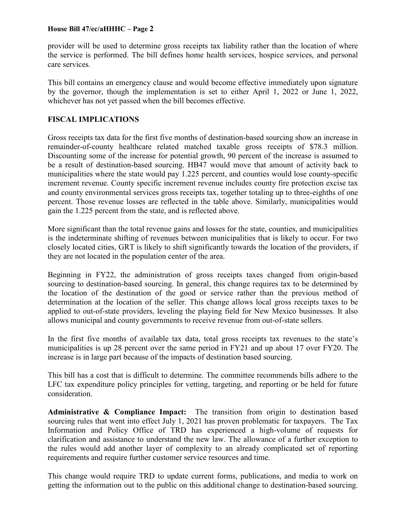## **House Bill 47/ec/aHHHC – Page 2**

provider will be used to determine gross receipts tax liability rather than the location of where the service is performed. The bill defines home health services, hospice services, and personal care services.

This bill contains an emergency clause and would become effective immediately upon signature by the governor, though the implementation is set to either April 1, 2022 or June 1, 2022, whichever has not yet passed when the bill becomes effective.

# **FISCAL IMPLICATIONS**

Gross receipts tax data for the first five months of destination-based sourcing show an increase in remainder-of-county healthcare related matched taxable gross receipts of \$78.3 million. Discounting some of the increase for potential growth, 90 percent of the increase is assumed to be a result of destination-based sourcing. HB47 would move that amount of activity back to municipalities where the state would pay 1.225 percent, and counties would lose county-specific increment revenue. County specific increment revenue includes county fire protection excise tax and county environmental services gross receipts tax, together totaling up to three-eighths of one percent. Those revenue losses are reflected in the table above. Similarly, municipalities would gain the 1.225 percent from the state, and is reflected above.

More significant than the total revenue gains and losses for the state, counties, and municipalities is the indeterminate shifting of revenues between municipalities that is likely to occur. For two closely located cities, GRT is likely to shift significantly towards the location of the providers, if they are not located in the population center of the area.

Beginning in FY22, the administration of gross receipts taxes changed from origin-based sourcing to destination-based sourcing. In general, this change requires tax to be determined by the location of the destination of the good or service rather than the previous method of determination at the location of the seller. This change allows local gross receipts taxes to be applied to out-of-state providers, leveling the playing field for New Mexico businesses. It also allows municipal and county governments to receive revenue from out-of-state sellers.

In the first five months of available tax data, total gross receipts tax revenues to the state's municipalities is up 28 percent over the same period in FY21 and up about 17 over FY20. The increase is in large part because of the impacts of destination based sourcing.

This bill has a cost that is difficult to determine. The committee recommends bills adhere to the LFC tax expenditure policy principles for vetting, targeting, and reporting or be held for future consideration.

**Administrative & Compliance Impact:** The transition from origin to destination based sourcing rules that went into effect July 1, 2021 has proven problematic for taxpayers. The Tax Information and Policy Office of TRD has experienced a high-volume of requests for clarification and assistance to understand the new law. The allowance of a further exception to the rules would add another layer of complexity to an already complicated set of reporting requirements and require further customer service resources and time.

This change would require TRD to update current forms, publications, and media to work on getting the information out to the public on this additional change to destination-based sourcing.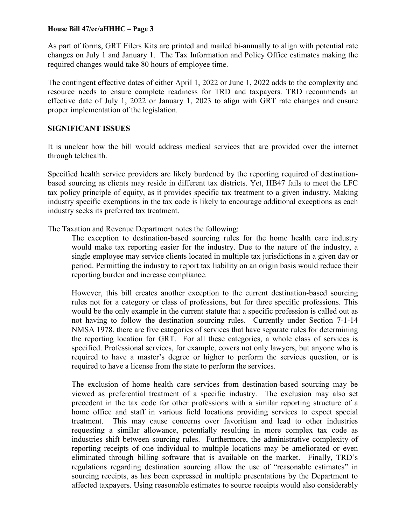## **House Bill 47/ec/aHHHC – Page 3**

As part of forms, GRT Filers Kits are printed and mailed bi-annually to align with potential rate changes on July 1 and January 1. The Tax Information and Policy Office estimates making the required changes would take 80 hours of employee time.

The contingent effective dates of either April 1, 2022 or June 1, 2022 adds to the complexity and resource needs to ensure complete readiness for TRD and taxpayers. TRD recommends an effective date of July 1, 2022 or January 1, 2023 to align with GRT rate changes and ensure proper implementation of the legislation.

## **SIGNIFICANT ISSUES**

It is unclear how the bill would address medical services that are provided over the internet through telehealth.

Specified health service providers are likely burdened by the reporting required of destinationbased sourcing as clients may reside in different tax districts. Yet, HB47 fails to meet the LFC tax policy principle of equity, as it provides specific tax treatment to a given industry. Making industry specific exemptions in the tax code is likely to encourage additional exceptions as each industry seeks its preferred tax treatment.

The Taxation and Revenue Department notes the following:

The exception to destination-based sourcing rules for the home health care industry would make tax reporting easier for the industry. Due to the nature of the industry, a single employee may service clients located in multiple tax jurisdictions in a given day or period. Permitting the industry to report tax liability on an origin basis would reduce their reporting burden and increase compliance.

However, this bill creates another exception to the current destination-based sourcing rules not for a category or class of professions, but for three specific professions. This would be the only example in the current statute that a specific profession is called out as not having to follow the destination sourcing rules. Currently under Section 7-1-14 NMSA 1978, there are five categories of services that have separate rules for determining the reporting location for GRT. For all these categories, a whole class of services is specified. Professional services, for example, covers not only lawyers, but anyone who is required to have a master's degree or higher to perform the services question, or is required to have a license from the state to perform the services.

The exclusion of home health care services from destination-based sourcing may be viewed as preferential treatment of a specific industry. The exclusion may also set precedent in the tax code for other professions with a similar reporting structure of a home office and staff in various field locations providing services to expect special treatment. This may cause concerns over favoritism and lead to other industries requesting a similar allowance, potentially resulting in more complex tax code as industries shift between sourcing rules. Furthermore, the administrative complexity of reporting receipts of one individual to multiple locations may be ameliorated or even eliminated through billing software that is available on the market. Finally, TRD's regulations regarding destination sourcing allow the use of "reasonable estimates" in sourcing receipts, as has been expressed in multiple presentations by the Department to affected taxpayers. Using reasonable estimates to source receipts would also considerably